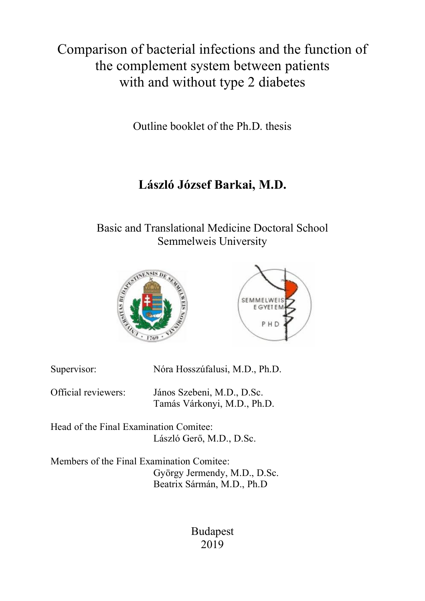Comparison of bacterial infections and the function of the complement system between patients with and without type 2 diabetes

Outline booklet of the Ph.D. thesis

# **László József Barkai, M.D.**

Basic and Translational Medicine Doctoral School Semmelweis University





| Supervisor:         | Nóra Hosszúfalusi, M.D., Ph.D.                            |
|---------------------|-----------------------------------------------------------|
| Official reviewers: | János Szebeni, M.D., D.Sc.<br>Tamás Várkonyi, M.D., Ph.D. |

Head of the Final Examination Comitee: László Gerő, M.D., D.Sc.

Members of the Final Examination Comitee: György Jermendy, M.D., D.Sc. Beatrix Sármán, M.D., Ph.D

> Budapest 2019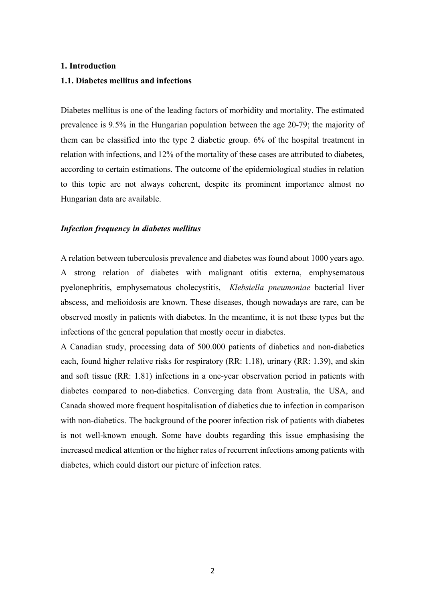## **1. Introduction**

# **1.1. Diabetes mellitus and infections**

Diabetes mellitus is one of the leading factors of morbidity and mortality. The estimated prevalence is 9.5% in the Hungarian population between the age 20-79; the majority of them can be classified into the type 2 diabetic group. 6% of the hospital treatment in relation with infections, and 12% of the mortality of these cases are attributed to diabetes, according to certain estimations. The outcome of the epidemiological studies in relation to this topic are not always coherent, despite its prominent importance almost no Hungarian data are available.

# *Infection frequency in diabetes mellitus*

A relation between tuberculosis prevalence and diabetes was found about 1000 years ago. A strong relation of diabetes with malignant otitis externa, emphysematous pyelonephritis, emphysematous cholecystitis, *Klebsiella pneumoniae* bacterial liver abscess, and melioidosis are known. These diseases, though nowadays are rare, can be observed mostly in patients with diabetes. In the meantime, it is not these types but the infections of the general population that mostly occur in diabetes.

A Canadian study, processing data of 500.000 patients of diabetics and non-diabetics each, found higher relative risks for respiratory (RR: 1.18), urinary (RR: 1.39), and skin and soft tissue (RR: 1.81) infections in a one-year observation period in patients with diabetes compared to non-diabetics. Converging data from Australia, the USA, and Canada showed more frequent hospitalisation of diabetics due to infection in comparison with non-diabetics. The background of the poorer infection risk of patients with diabetes is not well-known enough. Some have doubts regarding this issue emphasising the increased medical attention or the higher rates of recurrent infections among patients with diabetes, which could distort our picture of infection rates.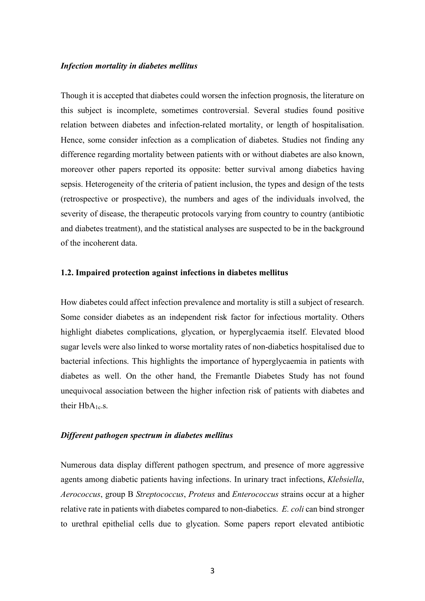# *Infection mortality in diabetes mellitus*

Though it is accepted that diabetes could worsen the infection prognosis, the literature on this subject is incomplete, sometimes controversial. Several studies found positive relation between diabetes and infection-related mortality, or length of hospitalisation. Hence, some consider infection as a complication of diabetes. Studies not finding any difference regarding mortality between patients with or without diabetes are also known, moreover other papers reported its opposite: better survival among diabetics having sepsis. Heterogeneity of the criteria of patient inclusion, the types and design of the tests (retrospective or prospective), the numbers and ages of the individuals involved, the severity of disease, the therapeutic protocols varying from country to country (antibiotic and diabetes treatment), and the statistical analyses are suspected to be in the background of the incoherent data.

## **1.2. Impaired protection against infections in diabetes mellitus**

How diabetes could affect infection prevalence and mortality is still a subject of research. Some consider diabetes as an independent risk factor for infectious mortality. Others highlight diabetes complications, glycation, or hyperglycaemia itself. Elevated blood sugar levels were also linked to worse mortality rates of non-diabetics hospitalised due to bacterial infections. This highlights the importance of hyperglycaemia in patients with diabetes as well. On the other hand, the Fremantle Diabetes Study has not found unequivocal association between the higher infection risk of patients with diabetes and their HbA<sub>1c-S.</sub>

#### *Different pathogen spectrum in diabetes mellitus*

Numerous data display different pathogen spectrum, and presence of more aggressive agents among diabetic patients having infections. In urinary tract infections, *Klebsiella*, *Aerococcus*, group B *Streptococcus*, *Proteus* and *Enterococcus* strains occur at a higher relative rate in patients with diabetes compared to non-diabetics. *E. coli* can bind stronger to urethral epithelial cells due to glycation. Some papers report elevated antibiotic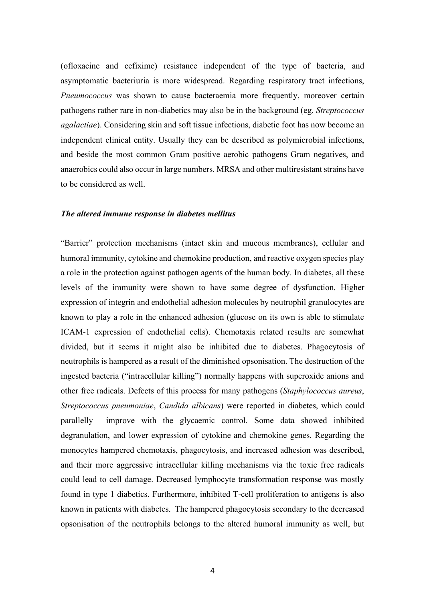(ofloxacine and cefixime) resistance independent of the type of bacteria, and asymptomatic bacteriuria is more widespread. Regarding respiratory tract infections, *Pneumococcus* was shown to cause bacteraemia more frequently, moreover certain pathogens rather rare in non-diabetics may also be in the background (eg. *Streptococcus agalactiae*). Considering skin and soft tissue infections, diabetic foot has now become an independent clinical entity. Usually they can be described as polymicrobial infections, and beside the most common Gram positive aerobic pathogens Gram negatives, and anaerobics could also occur in large numbers. MRSA and other multiresistant strains have to be considered as well.

## *The altered immune response in diabetes mellitus*

"Barrier" protection mechanisms (intact skin and mucous membranes), cellular and humoral immunity, cytokine and chemokine production, and reactive oxygen species play a role in the protection against pathogen agents of the human body. In diabetes, all these levels of the immunity were shown to have some degree of dysfunction. Higher expression of integrin and endothelial adhesion molecules by neutrophil granulocytes are known to play a role in the enhanced adhesion (glucose on its own is able to stimulate ICAM-1 expression of endothelial cells). Chemotaxis related results are somewhat divided, but it seems it might also be inhibited due to diabetes. Phagocytosis of neutrophils is hampered as a result of the diminished opsonisation. The destruction of the ingested bacteria ("intracellular killing") normally happens with superoxide anions and other free radicals. Defects of this process for many pathogens (*Staphylococcus aureus*, *Streptococcus pneumoniae*, *Candida albicans*) were reported in diabetes, which could parallelly improve with the glycaemic control. Some data showed inhibited degranulation, and lower expression of cytokine and chemokine genes. Regarding the monocytes hampered chemotaxis, phagocytosis, and increased adhesion was described, and their more aggressive intracellular killing mechanisms via the toxic free radicals could lead to cell damage. Decreased lymphocyte transformation response was mostly found in type 1 diabetics. Furthermore, inhibited T-cell proliferation to antigens is also known in patients with diabetes. The hampered phagocytosis secondary to the decreased opsonisation of the neutrophils belongs to the altered humoral immunity as well, but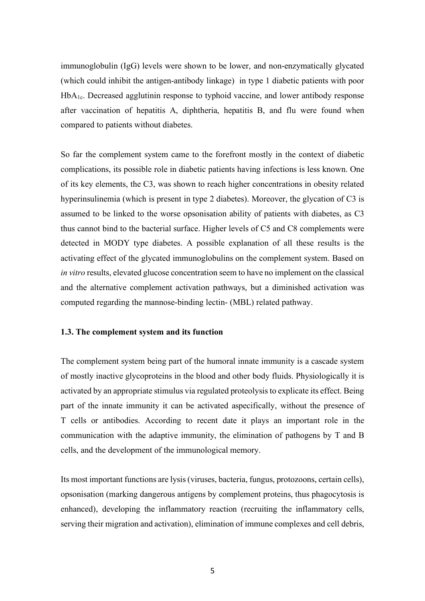immunoglobulin (IgG) levels were shown to be lower, and non-enzymatically glycated (which could inhibit the antigen-antibody linkage) in type 1 diabetic patients with poor HbA1c. Decreased agglutinin response to typhoid vaccine, and lower antibody response after vaccination of hepatitis A, diphtheria, hepatitis B, and flu were found when compared to patients without diabetes.

So far the complement system came to the forefront mostly in the context of diabetic complications, its possible role in diabetic patients having infections is less known. One of its key elements, the C3, was shown to reach higher concentrations in obesity related hyperinsulinemia (which is present in type 2 diabetes). Moreover, the glycation of C3 is assumed to be linked to the worse opsonisation ability of patients with diabetes, as C3 thus cannot bind to the bacterial surface. Higher levels of C5 and C8 complements were detected in MODY type diabetes. A possible explanation of all these results is the activating effect of the glycated immunoglobulins on the complement system. Based on *in vitro* results, elevated glucose concentration seem to have no implement on the classical and the alternative complement activation pathways, but a diminished activation was computed regarding the mannose-binding lectin- (MBL) related pathway.

# **1.3. The complement system and its function**

The complement system being part of the humoral innate immunity is a cascade system of mostly inactive glycoproteins in the blood and other body fluids. Physiologically it is activated by an appropriate stimulus via regulated proteolysis to explicate its effect. Being part of the innate immunity it can be activated aspecifically, without the presence of T cells or antibodies. According to recent date it plays an important role in the communication with the adaptive immunity, the elimination of pathogens by T and B cells, and the development of the immunological memory.

Its most important functions are lysis (viruses, bacteria, fungus, protozoons, certain cells), opsonisation (marking dangerous antigens by complement proteins, thus phagocytosis is enhanced), developing the inflammatory reaction (recruiting the inflammatory cells, serving their migration and activation), elimination of immune complexes and cell debris,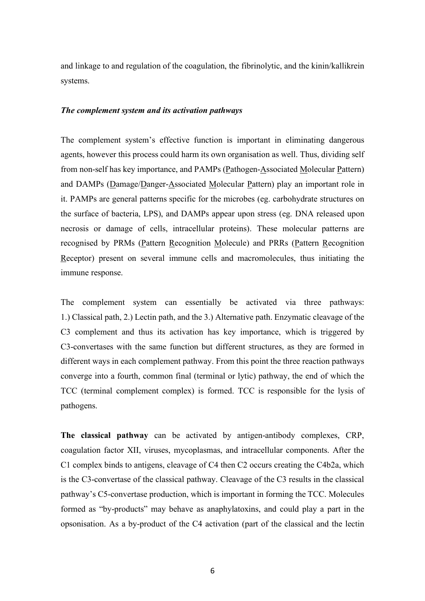and linkage to and regulation of the coagulation, the fibrinolytic, and the kinin/kallikrein systems.

# *The complement system and its activation pathways*

The complement system's effective function is important in eliminating dangerous agents, however this process could harm its own organisation as well. Thus, dividing self from non-self has key importance, and PAMPs (Pathogen-Associated Molecular Pattern) and DAMPs (Damage/Danger-Associated Molecular Pattern) play an important role in it. PAMPs are general patterns specific for the microbes (eg. carbohydrate structures on the surface of bacteria, LPS), and DAMPs appear upon stress (eg. DNA released upon necrosis or damage of cells, intracellular proteins). These molecular patterns are recognised by PRMs (Pattern Recognition Molecule) and PRRs (Pattern Recognition Receptor) present on several immune cells and macromolecules, thus initiating the immune response.

The complement system can essentially be activated via three pathways: 1.) Classical path, 2.) Lectin path, and the 3.) Alternative path. Enzymatic cleavage of the C3 complement and thus its activation has key importance, which is triggered by C3-convertases with the same function but different structures, as they are formed in different ways in each complement pathway. From this point the three reaction pathways converge into a fourth, common final (terminal or lytic) pathway, the end of which the TCC (terminal complement complex) is formed. TCC is responsible for the lysis of pathogens.

**The classical pathway** can be activated by antigen-antibody complexes, CRP, coagulation factor XII, viruses, mycoplasmas, and intracellular components. After the C1 complex binds to antigens, cleavage of C4 then C2 occurs creating the C4b2a, which is the C3-convertase of the classical pathway. Cleavage of the C3 results in the classical pathway's C5-convertase production, which is important in forming the TCC. Molecules formed as "by-products" may behave as anaphylatoxins, and could play a part in the opsonisation. As a by-product of the C4 activation (part of the classical and the lectin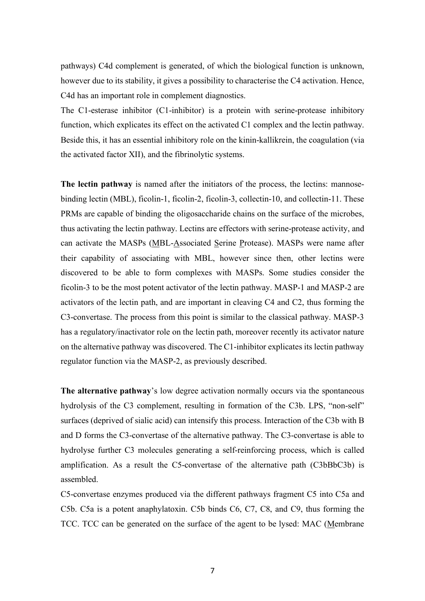pathways) C4d complement is generated, of which the biological function is unknown, however due to its stability, it gives a possibility to characterise the C4 activation. Hence, C4d has an important role in complement diagnostics.

The C1-esterase inhibitor (C1-inhibitor) is a protein with serine-protease inhibitory function, which explicates its effect on the activated C1 complex and the lectin pathway. Beside this, it has an essential inhibitory role on the kinin-kallikrein, the coagulation (via the activated factor XII), and the fibrinolytic systems.

**The lectin pathway** is named after the initiators of the process, the lectins: mannosebinding lectin (MBL), ficolin-1, ficolin-2, ficolin-3, collectin-10, and collectin-11. These PRMs are capable of binding the oligosaccharide chains on the surface of the microbes, thus activating the lectin pathway. Lectins are effectors with serine-protease activity, and can activate the MASPs (MBL-Associated Serine Protease). MASPs were name after their capability of associating with MBL, however since then, other lectins were discovered to be able to form complexes with MASPs. Some studies consider the ficolin-3 to be the most potent activator of the lectin pathway. MASP-1 and MASP-2 are activators of the lectin path, and are important in cleaving C4 and C2, thus forming the C3-convertase. The process from this point is similar to the classical pathway. MASP-3 has a regulatory/inactivator role on the lectin path, moreover recently its activator nature on the alternative pathway was discovered. The C1-inhibitor explicates its lectin pathway regulator function via the MASP-2, as previously described.

**The alternative pathway**'s low degree activation normally occurs via the spontaneous hydrolysis of the C3 complement, resulting in formation of the C3b. LPS, "non-self" surfaces (deprived of sialic acid) can intensify this process. Interaction of the C3b with B and D forms the C3-convertase of the alternative pathway. The C3-convertase is able to hydrolyse further C3 molecules generating a self-reinforcing process, which is called amplification. As a result the C5-convertase of the alternative path (C3bBbC3b) is assembled.

C5-convertase enzymes produced via the different pathways fragment C5 into C5a and C5b. C5a is a potent anaphylatoxin. C5b binds C6, C7, C8, and C9, thus forming the TCC. TCC can be generated on the surface of the agent to be lysed: MAC (Membrane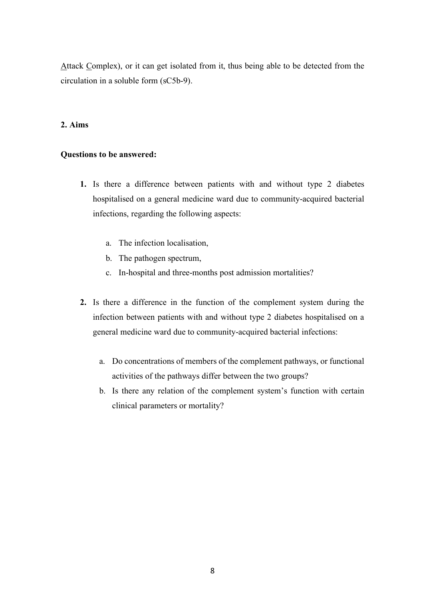Attack Complex), or it can get isolated from it, thus being able to be detected from the circulation in a soluble form (sC5b-9).

# **2. Aims**

# **Questions to be answered:**

- **1.** Is there a difference between patients with and without type 2 diabetes hospitalised on a general medicine ward due to community-acquired bacterial infections, regarding the following aspects:
	- a. The infection localisation,
	- b. The pathogen spectrum,
	- c. In-hospital and three-months post admission mortalities?
- **2.** Is there a difference in the function of the complement system during the infection between patients with and without type 2 diabetes hospitalised on a general medicine ward due to community-acquired bacterial infections:
	- a. Do concentrations of members of the complement pathways, or functional activities of the pathways differ between the two groups?
	- b. Is there any relation of the complement system's function with certain clinical parameters or mortality?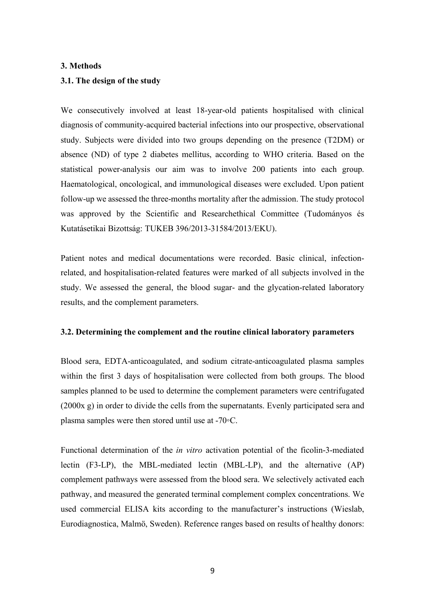# **3. Methods**

# **3.1. The design of the study**

We consecutively involved at least 18-year-old patients hospitalised with clinical diagnosis of community-acquired bacterial infections into our prospective, observational study. Subjects were divided into two groups depending on the presence (T2DM) or absence (ND) of type 2 diabetes mellitus, according to WHO criteria. Based on the statistical power-analysis our aim was to involve 200 patients into each group. Haematological, oncological, and immunological diseases were excluded. Upon patient follow-up we assessed the three-months mortality after the admission. The study protocol was approved by the Scientific and Researchethical Committee (Tudományos és Kutatásetikai Bizottság: TUKEB 396/2013-31584/2013/EKU).

Patient notes and medical documentations were recorded. Basic clinical, infectionrelated, and hospitalisation-related features were marked of all subjects involved in the study. We assessed the general, the blood sugar- and the glycation-related laboratory results, and the complement parameters.

# **3.2. Determining the complement and the routine clinical laboratory parameters**

Blood sera, EDTA-anticoagulated, and sodium citrate-anticoagulated plasma samples within the first 3 days of hospitalisation were collected from both groups. The blood samples planned to be used to determine the complement parameters were centrifugated (2000x g) in order to divide the cells from the supernatants. Evenly participated sera and plasma samples were then stored until use at -70◦C.

Functional determination of the *in vitro* activation potential of the ficolin-3-mediated lectin (F3-LP), the MBL-mediated lectin (MBL-LP), and the alternative (AP) complement pathways were assessed from the blood sera. We selectively activated each pathway, and measured the generated terminal complement complex concentrations. We used commercial ELISA kits according to the manufacturer's instructions (Wieslab, Eurodiagnostica, Malmö, Sweden). Reference ranges based on results of healthy donors: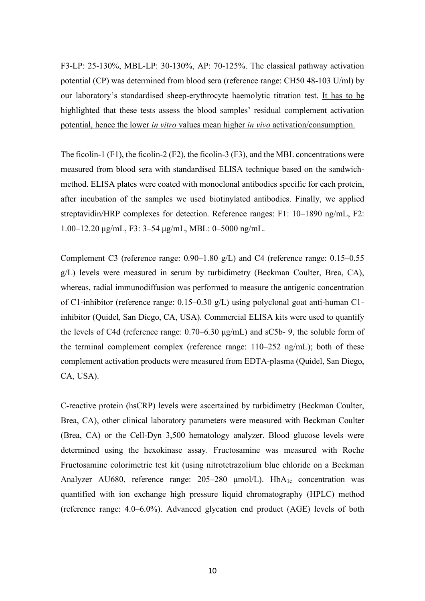F3-LP: 25-130%, MBL-LP: 30-130%, AP: 70-125%. The classical pathway activation potential (CP) was determined from blood sera (reference range: CH50 48-103 U/ml) by our laboratory's standardised sheep-erythrocyte haemolytic titration test. It has to be highlighted that these tests assess the blood samples' residual complement activation potential, hence the lower *in vitro* values mean higher *in vivo* activation/consumption.

The ficolin-1 (F1), the ficolin-2 (F2), the ficolin-3 (F3), and the MBL concentrations were measured from blood sera with standardised ELISA technique based on the sandwichmethod. ELISA plates were coated with monoclonal antibodies specific for each protein, after incubation of the samples we used biotinylated antibodies. Finally, we applied streptavidin/HRP complexes for detection. Reference ranges: F1: 10–1890 ng/mL, F2: 1.00–12.20 µg/mL, F3: 3–54 µg/mL, MBL: 0–5000 ng/mL.

Complement C3 (reference range: 0.90–1.80 g/L) and C4 (reference range: 0.15–0.55 g/L) levels were measured in serum by turbidimetry (Beckman Coulter, Brea, CA), whereas, radial immunodiffusion was performed to measure the antigenic concentration of C1-inhibitor (reference range: 0.15–0.30 g/L) using polyclonal goat anti-human C1 inhibitor (Quidel, San Diego, CA, USA). Commercial ELISA kits were used to quantify the levels of C4d (reference range: 0.70–6.30 µg/mL) and sC5b- 9, the soluble form of the terminal complement complex (reference range: 110–252 ng/mL); both of these complement activation products were measured from EDTA-plasma (Quidel, San Diego, CA, USA).

C-reactive protein (hsCRP) levels were ascertained by turbidimetry (Beckman Coulter, Brea, CA), other clinical laboratory parameters were measured with Beckman Coulter (Brea, CA) or the Cell-Dyn 3,500 hematology analyzer. Blood glucose levels were determined using the hexokinase assay. Fructosamine was measured with Roche Fructosamine colorimetric test kit (using nitrotetrazolium blue chloride on a Beckman Analyzer AU680, reference range: 205–280 µmol/L). HbA<sub>1c</sub> concentration was quantified with ion exchange high pressure liquid chromatography (HPLC) method (reference range: 4.0–6.0%). Advanced glycation end product (AGE) levels of both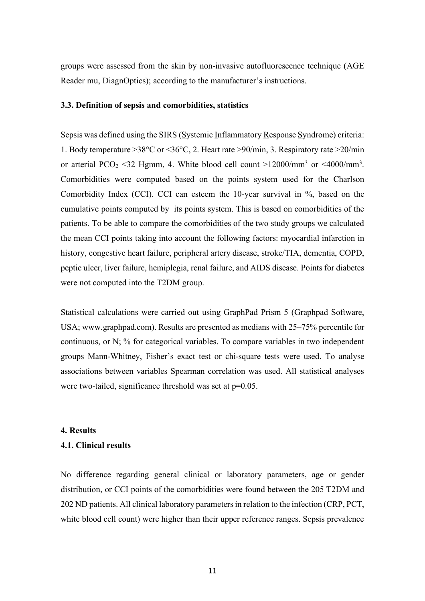groups were assessed from the skin by non-invasive autofluorescence technique (AGE Reader mu, DiagnOptics); according to the manufacturer's instructions.

# **3.3. Definition of sepsis and comorbidities, statistics**

Sepsis was defined using the SIRS (Systemic Inflammatory Response Syndrome) criteria: 1. Body temperature >38°C or <36°C, 2. Heart rate >90/min, 3. Respiratory rate >20/min or arterial PCO<sub>2</sub> <32 Hgmm, 4. White blood cell count >12000/mm<sup>3</sup> or <4000/mm<sup>3</sup>. Comorbidities were computed based on the points system used for the Charlson Comorbidity Index (CCI). CCI can esteem the 10-year survival in %, based on the cumulative points computed by its points system. This is based on comorbidities of the patients. To be able to compare the comorbidities of the two study groups we calculated the mean CCI points taking into account the following factors: myocardial infarction in history, congestive heart failure, peripheral artery disease, stroke/TIA, dementia, COPD, peptic ulcer, liver failure, hemiplegia, renal failure, and AIDS disease. Points for diabetes were not computed into the T2DM group.

Statistical calculations were carried out using GraphPad Prism 5 (Graphpad Software, USA; www.graphpad.com). Results are presented as medians with 25–75% percentile for continuous, or N; % for categorical variables. To compare variables in two independent groups Mann-Whitney, Fisher's exact test or chi-square tests were used. To analyse associations between variables Spearman correlation was used. All statistical analyses were two-tailed, significance threshold was set at  $p=0.05$ .

#### **4. Results**

# **4.1. Clinical results**

No difference regarding general clinical or laboratory parameters, age or gender distribution, or CCI points of the comorbidities were found between the 205 T2DM and 202 ND patients. All clinical laboratory parameters in relation to the infection (CRP, PCT, white blood cell count) were higher than their upper reference ranges. Sepsis prevalence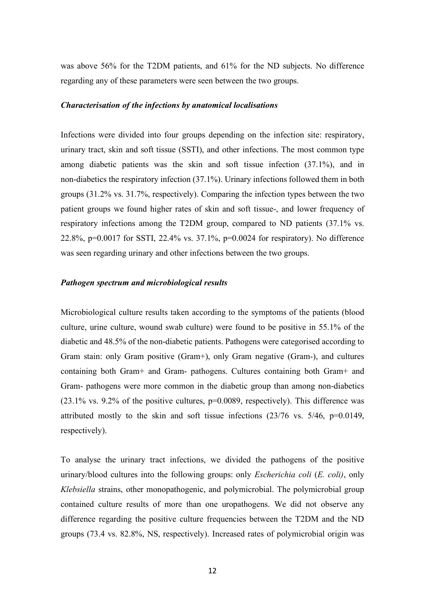was above 56% for the T2DM patients, and 61% for the ND subjects. No difference regarding any of these parameters were seen between the two groups.

# *Characterisation of the infections by anatomical localisations*

Infections were divided into four groups depending on the infection site: respiratory, urinary tract, skin and soft tissue (SSTI), and other infections. The most common type among diabetic patients was the skin and soft tissue infection (37.1%), and in non-diabetics the respiratory infection (37.1%). Urinary infections followed them in both groups (31.2% vs. 31.7%, respectively). Comparing the infection types between the two patient groups we found higher rates of skin and soft tissue-, and lower frequency of respiratory infections among the T2DM group, compared to ND patients (37.1% vs. 22.8%, p=0.0017 for SSTI, 22.4% vs. 37.1%, p=0.0024 for respiratory). No difference was seen regarding urinary and other infections between the two groups.

# *Pathogen spectrum and microbiological results*

Microbiological culture results taken according to the symptoms of the patients (blood culture, urine culture, wound swab culture) were found to be positive in 55.1% of the diabetic and 48.5% of the non-diabetic patients. Pathogens were categorised according to Gram stain: only Gram positive (Gram+), only Gram negative (Gram-), and cultures containing both Gram+ and Gram- pathogens. Cultures containing both Gram+ and Gram- pathogens were more common in the diabetic group than among non-diabetics  $(23.1\%$  vs. 9.2% of the positive cultures,  $p=0.0089$ , respectively). This difference was attributed mostly to the skin and soft tissue infections (23/76 vs. 5/46, p=0.0149, respectively).

To analyse the urinary tract infections, we divided the pathogens of the positive urinary/blood cultures into the following groups: only *Escherichia coli* (*E. coli)*, only *Klebsiella* strains, other monopathogenic, and polymicrobial. The polymicrobial group contained culture results of more than one uropathogens. We did not observe any difference regarding the positive culture frequencies between the T2DM and the ND groups (73.4 vs. 82.8%, NS, respectively). Increased rates of polymicrobial origin was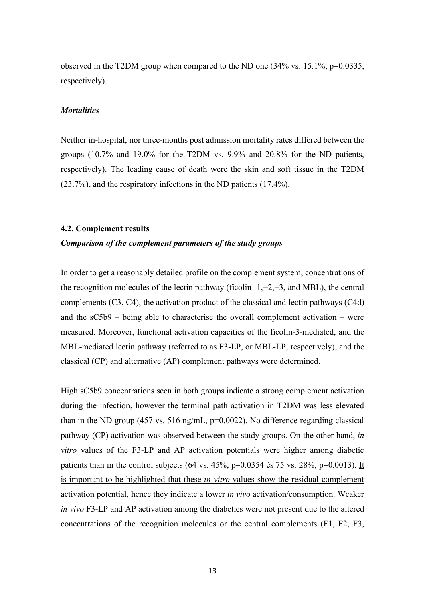observed in the T2DM group when compared to the ND one (34% vs. 15.1%, p=0.0335, respectively).

#### *Mortalities*

Neither in-hospital, nor three-months post admission mortality rates differed between the groups (10.7% and 19.0% for the T2DM vs. 9.9% and 20.8% for the ND patients, respectively). The leading cause of death were the skin and soft tissue in the T2DM (23.7%), and the respiratory infections in the ND patients (17.4%).

#### **4.2. Complement results**

# *Comparison of the complement parameters of the study groups*

In order to get a reasonably detailed profile on the complement system, concentrations of the recognition molecules of the lectin pathway (ficolin- 1,−2,−3, and MBL), the central complements (C3, C4), the activation product of the classical and lectin pathways (C4d) and the sC5b9 – being able to characterise the overall complement activation – were measured. Moreover, functional activation capacities of the ficolin-3-mediated, and the MBL-mediated lectin pathway (referred to as F3-LP, or MBL-LP, respectively), and the classical (CP) and alternative (AP) complement pathways were determined.

High sC5b9 concentrations seen in both groups indicate a strong complement activation during the infection, however the terminal path activation in T2DM was less elevated than in the ND group (457 vs. 516 ng/mL,  $p=0.0022$ ). No difference regarding classical pathway (CP) activation was observed between the study groups. On the other hand, *in vitro* values of the F3-LP and AP activation potentials were higher among diabetic patients than in the control subjects (64 vs.  $45\%$ , p=0.0354 és 75 vs.  $28\%$ , p=0.0013). It is important to be highlighted that these *in vitro* values show the residual complement activation potential, hence they indicate a lower *in vivo* activation/consumption. Weaker *in vivo* F3-LP and AP activation among the diabetics were not present due to the altered concentrations of the recognition molecules or the central complements (F1, F2, F3,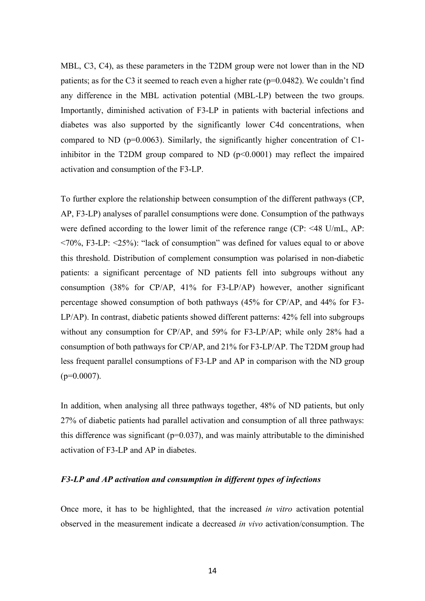MBL, C3, C4), as these parameters in the T2DM group were not lower than in the ND patients; as for the C3 it seemed to reach even a higher rate ( $p=0.0482$ ). We couldn't find any difference in the MBL activation potential (MBL-LP) between the two groups. Importantly, diminished activation of F3-LP in patients with bacterial infections and diabetes was also supported by the significantly lower C4d concentrations, when compared to ND ( $p=0.0063$ ). Similarly, the significantly higher concentration of C1inhibitor in the T2DM group compared to ND (p<0.0001) may reflect the impaired activation and consumption of the F3-LP.

To further explore the relationship between consumption of the different pathways (CP, AP, F3-LP) analyses of parallel consumptions were done. Consumption of the pathways were defined according to the lower limit of the reference range (CP: <48 U/mL, AP: <70%, F3-LP: <25%): "lack of consumption" was defined for values equal to or above this threshold. Distribution of complement consumption was polarised in non-diabetic patients: a significant percentage of ND patients fell into subgroups without any consumption (38% for CP/AP, 41% for F3-LP/AP) however, another significant percentage showed consumption of both pathways (45% for CP/AP, and 44% for F3- LP/AP). In contrast, diabetic patients showed different patterns: 42% fell into subgroups without any consumption for CP/AP, and 59% for F3-LP/AP; while only 28% had a consumption of both pathways for CP/AP, and 21% for F3-LP/AP. The T2DM group had less frequent parallel consumptions of F3-LP and AP in comparison with the ND group  $(p=0.0007)$ .

In addition, when analysing all three pathways together, 48% of ND patients, but only 27% of diabetic patients had parallel activation and consumption of all three pathways: this difference was significant ( $p=0.037$ ), and was mainly attributable to the diminished activation of F3-LP and AP in diabetes.

# *F3-LP and AP activation and consumption in different types of infections*

Once more, it has to be highlighted, that the increased *in vitro* activation potential observed in the measurement indicate a decreased *in vivo* activation/consumption. The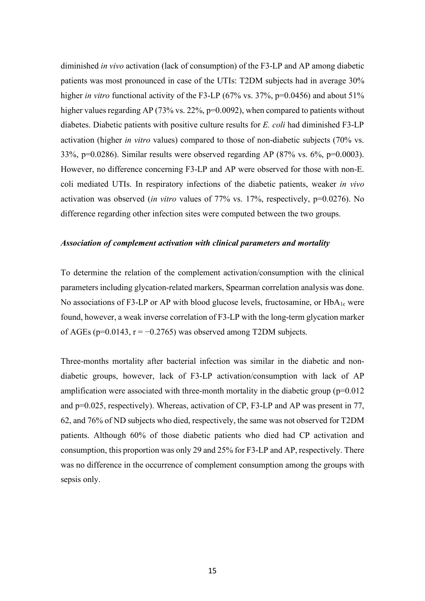diminished *in vivo* activation (lack of consumption) of the F3-LP and AP among diabetic patients was most pronounced in case of the UTIs: T2DM subjects had in average 30% higher *in vitro* functional activity of the F3-LP (67% vs. 37%, p=0.0456) and about 51% higher values regarding AP (73% vs. 22%, p=0.0092), when compared to patients without diabetes. Diabetic patients with positive culture results for *E. coli* had diminished F3-LP activation (higher *in vitro* values) compared to those of non-diabetic subjects (70% vs. 33%, p=0.0286). Similar results were observed regarding AP (87% vs. 6%, p=0.0003). However, no difference concerning F3-LP and AP were observed for those with non-E. coli mediated UTIs. In respiratory infections of the diabetic patients, weaker *in vivo* activation was observed (*in vitro* values of 77% vs. 17%, respectively, p=0.0276). No difference regarding other infection sites were computed between the two groups.

# *Association of complement activation with clinical parameters and mortality*

To determine the relation of the complement activation/consumption with the clinical parameters including glycation-related markers, Spearman correlation analysis was done. No associations of F3-LP or AP with blood glucose levels, fructosamine, or  $HbA_{1c}$  were found, however, a weak inverse correlation of F3-LP with the long-term glycation marker of AGEs ( $p=0.0143$ ,  $r = -0.2765$ ) was observed among T2DM subjects.

Three-months mortality after bacterial infection was similar in the diabetic and nondiabetic groups, however, lack of F3-LP activation/consumption with lack of AP amplification were associated with three-month mortality in the diabetic group  $(p=0.012)$ and p=0.025, respectively). Whereas, activation of CP, F3-LP and AP was present in 77, 62, and 76% of ND subjects who died, respectively, the same was not observed for T2DM patients. Although 60% of those diabetic patients who died had CP activation and consumption, this proportion was only 29 and 25% for F3-LP and AP, respectively. There was no difference in the occurrence of complement consumption among the groups with sepsis only.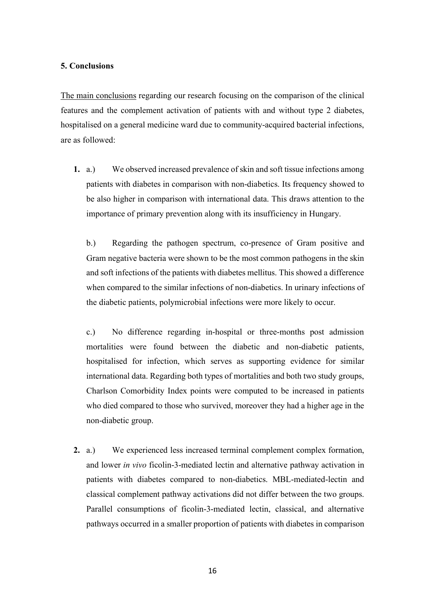# **5. Conclusions**

The main conclusions regarding our research focusing on the comparison of the clinical features and the complement activation of patients with and without type 2 diabetes, hospitalised on a general medicine ward due to community-acquired bacterial infections, are as followed:

**1.** a.) We observed increased prevalence of skin and soft tissue infections among patients with diabetes in comparison with non-diabetics. Its frequency showed to be also higher in comparison with international data. This draws attention to the importance of primary prevention along with its insufficiency in Hungary.

b.) Regarding the pathogen spectrum, co-presence of Gram positive and Gram negative bacteria were shown to be the most common pathogens in the skin and soft infections of the patients with diabetes mellitus. This showed a difference when compared to the similar infections of non-diabetics. In urinary infections of the diabetic patients, polymicrobial infections were more likely to occur.

c.) No difference regarding in-hospital or three-months post admission mortalities were found between the diabetic and non-diabetic patients, hospitalised for infection, which serves as supporting evidence for similar international data. Regarding both types of mortalities and both two study groups, Charlson Comorbidity Index points were computed to be increased in patients who died compared to those who survived, moreover they had a higher age in the non-diabetic group.

**2.** a.) We experienced less increased terminal complement complex formation, and lower *in vivo* ficolin-3-mediated lectin and alternative pathway activation in patients with diabetes compared to non-diabetics. MBL-mediated-lectin and classical complement pathway activations did not differ between the two groups. Parallel consumptions of ficolin-3-mediated lectin, classical, and alternative pathways occurred in a smaller proportion of patients with diabetes in comparison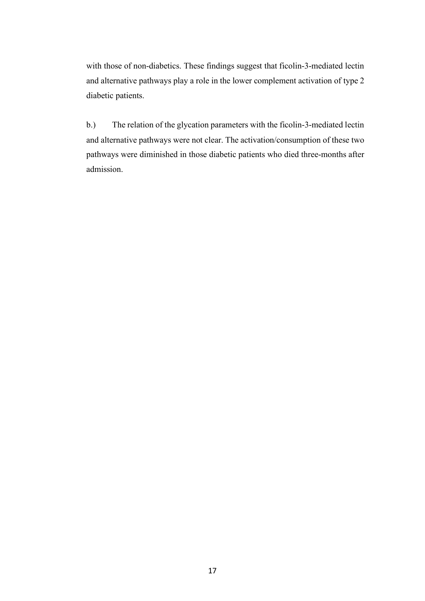with those of non-diabetics. These findings suggest that ficolin-3-mediated lectin and alternative pathways play a role in the lower complement activation of type 2 diabetic patients.

b.) The relation of the glycation parameters with the ficolin-3-mediated lectin and alternative pathways were not clear. The activation/consumption of these two pathways were diminished in those diabetic patients who died three-months after admission.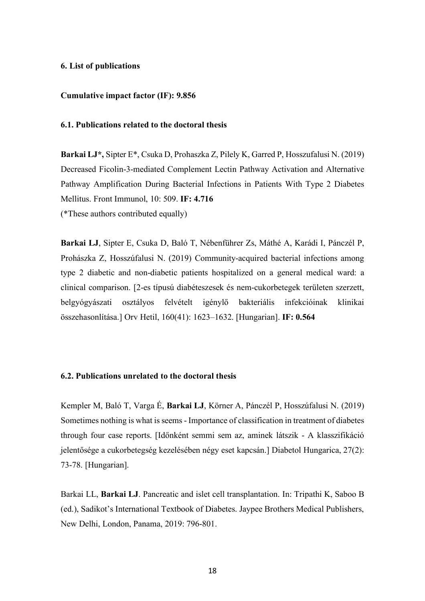## **6. List of publications**

#### **Cumulative impact factor (IF): 9.856**

# **6.1. Publications related to the doctoral thesis**

**Barkai LJ\*,** Sipter E\*, Csuka D, Prohaszka Z, Pilely K, Garred P, Hosszufalusi N. (2019) Decreased Ficolin-3-mediated Complement Lectin Pathway Activation and Alternative Pathway Amplification During Bacterial Infections in Patients With Type 2 Diabetes Mellitus. Front Immunol, 10: 509. **IF: 4.716** (\*These authors contributed equally)

**Barkai LJ**, Sipter E, Csuka D, Baló T, Nébenführer Zs, Máthé A, Karádi I, Pánczél P, Prohászka Z, Hosszúfalusi N. (2019) Community-acquired bacterial infections among type 2 diabetic and non-diabetic patients hospitalized on a general medical ward: a clinical comparison. [2-es típusú diabéteszesek és nem-cukorbetegek területen szerzett, belgyógyászati osztályos felvételt igénylő bakteriális infekcióinak klinikai összehasonlítása.] Orv Hetil, 160(41): 1623–1632. [Hungarian]. **IF: 0.564**

# **6.2. Publications unrelated to the doctoral thesis**

Kempler M, Baló T, Varga É, **Barkai LJ**, Körner A, Pánczél P, Hosszúfalusi N. (2019) Sometimes nothing is what is seems - Importance of classification in treatment of diabetes through four case reports. [Időnként semmi sem az, aminek látszik - A klasszifikáció jelentősége a cukorbetegség kezelésében négy eset kapcsán.] Diabetol Hungarica, 27(2): 73-78. [Hungarian].

Barkai LL, **Barkai LJ**. Pancreatic and islet cell transplantation. In: Tripathi K, Saboo B (ed.), Sadikot's International Textbook of Diabetes. Jaypee Brothers Medical Publishers, New Delhi, London, Panama, 2019: 796-801.